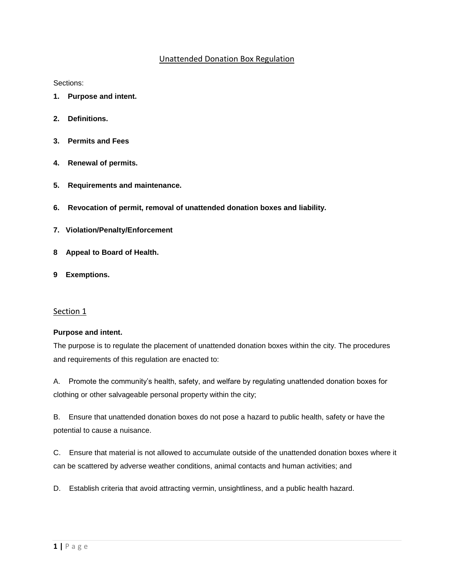# Unattended Donation Box Regulation

Sections:

- **[1. Purpose and intent.](http://www.codepublishing.com/CA/Folsom/html/Folsom08/Folsom0880.html#8.80.010)**
- **[2. Definitions.](http://www.codepublishing.com/CA/Folsom/html/Folsom08/Folsom0880.html#8.80.020)**
- **[3. Permits](http://www.codepublishing.com/CA/Folsom/html/Folsom08/Folsom0880.html#8.80.030) and Fees**
- **[4. Renewal of permits.](http://www.codepublishing.com/CA/Folsom/html/Folsom08/Folsom0880.html#8.80.040)**
- **[5. Requirements and maintenance.](http://www.codepublishing.com/CA/Folsom/html/Folsom08/Folsom0880.html#8.80.050)**
- **[6. Revocation of permit, removal of unattended donation boxes and liability.](http://www.codepublishing.com/CA/Folsom/html/Folsom08/Folsom0880.html#8.80.060)**
- **[7. Violation/Penalty/Enforcement](http://www.codepublishing.com/CA/Folsom/html/Folsom08/Folsom0880.html#8.80.070)**
- **[8 Appeal to Board of Health.](http://www.codepublishing.com/CA/Folsom/html/Folsom08/Folsom0880.html#8.80.080)**
- **[9 Exemptions.](http://www.codepublishing.com/CA/Folsom/html/Folsom08/Folsom0880.html#8.80.090)**

#### Section 1

#### **Purpose and intent.**

The purpose is to regulate the placement of unattended donation boxes within the city. The procedures and requirements of this regulation are enacted to:

A. Promote the community's health, safety, and welfare by regulating unattended donation boxes for clothing or other salvageable personal property within the city;

B. Ensure that unattended donation boxes do not pose a hazard to public health, safety or have the potential to cause a nuisance.

C. Ensure that material is not allowed to accumulate outside of the unattended donation boxes where it can be scattered by adverse weather conditions, animal contacts and human activities; and

D. Establish criteria that avoid attracting vermin, unsightliness, and a public health hazard.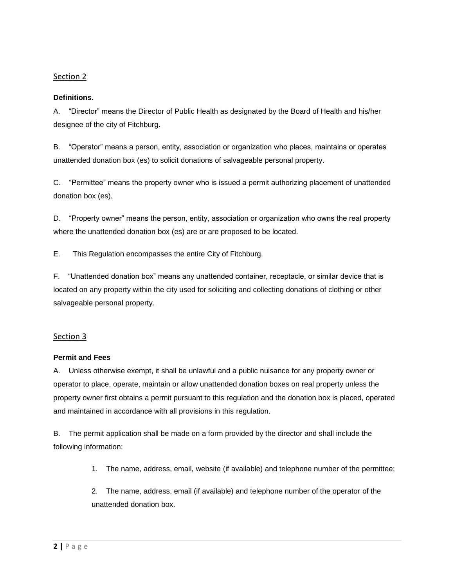#### **Definitions.**

A. "Director" means the Director of Public Health as designated by the Board of Health and his/her designee of the city of Fitchburg.

B. "Operator" means a person, entity, association or organization who places, maintains or operates unattended donation box (es) to solicit donations of salvageable personal property.

C. "Permittee" means the property owner who is issued a permit authorizing placement of unattended donation box (es).

D. "Property owner" means the person, entity, association or organization who owns the real property where the unattended donation box (es) are or are proposed to be located.

E. This Regulation encompasses the entire City of Fitchburg.

F. "Unattended donation box" means any unattended container, receptacle, or similar device that is located on any property within the city used for soliciting and collecting donations of clothing or other salvageable personal property.

## Section 3

## **Permit and Fees**

A. Unless otherwise exempt, it shall be unlawful and a public nuisance for any property owner or operator to place, operate, maintain or allow unattended donation boxes on real property unless the property owner first obtains a permit pursuant to this regulation and the donation box is placed, operated and maintained in accordance with all provisions in this regulation.

B. The permit application shall be made on a form provided by the director and shall include the following information:

1. The name, address, email, website (if available) and telephone number of the permittee;

2. The name, address, email (if available) and telephone number of the operator of the unattended donation box.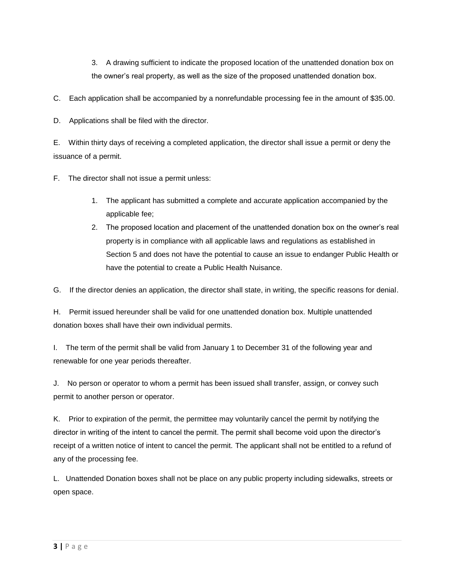3. A drawing sufficient to indicate the proposed location of the unattended donation box on the owner's real property, as well as the size of the proposed unattended donation box.

C. Each application shall be accompanied by a nonrefundable processing fee in the amount of \$35.00.

D. Applications shall be filed with the director.

E. Within thirty days of receiving a completed application, the director shall issue a permit or deny the issuance of a permit.

F. The director shall not issue a permit unless:

- 1. The applicant has submitted a complete and accurate application accompanied by the applicable fee;
- 2. The proposed location and placement of the unattended donation box on the owner's real property is in compliance with all applicable laws and regulations as established in Section 5 and does not have the potential to cause an issue to endanger Public Health or have the potential to create a Public Health Nuisance.

G. If the director denies an application, the director shall state, in writing, the specific reasons for denial.

H. Permit issued hereunder shall be valid for one unattended donation box. Multiple unattended donation boxes shall have their own individual permits.

I. The term of the permit shall be valid from January 1 to December 31 of the following year and renewable for one year periods thereafter.

J. No person or operator to whom a permit has been issued shall transfer, assign, or convey such permit to another person or operator.

K. Prior to expiration of the permit, the permittee may voluntarily cancel the permit by notifying the director in writing of the intent to cancel the permit. The permit shall become void upon the director's receipt of a written notice of intent to cancel the permit. The applicant shall not be entitled to a refund of any of the processing fee.

L. Unattended Donation boxes shall not be place on any public property including sidewalks, streets or open space.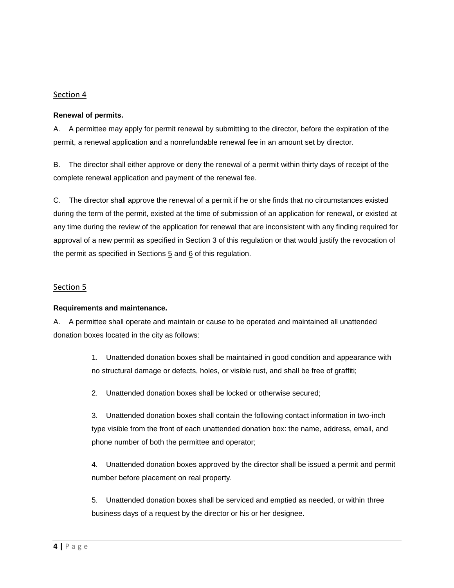#### **Renewal of permits.**

A. A permittee may apply for permit renewal by submitting to the director, before the expiration of the permit, a renewal application and a nonrefundable renewal fee in an amount set by director.

B. The director shall either approve or deny the renewal of a permit within thirty days of receipt of the complete renewal application and payment of the renewal fee.

C. The director shall approve the renewal of a permit if he or she finds that no circumstances existed during the term of the permit, existed at the time of submission of an application for renewal, or existed at any time during the review of the application for renewal that are inconsistent with any finding required for approval of a new permit as specified in Section [3](http://www.codepublishing.com/CA/Folsom/html/Folsom08/Folsom0880.html#8.80.030) of this regulation or that would justify the revocation of the permit as specified in Sections  $5$  and  $6$  of this regulation.

# Section 5

## **Requirements and maintenance.**

A. A permittee shall operate and maintain or cause to be operated and maintained all unattended donation boxes located in the city as follows:

> 1. Unattended donation boxes shall be maintained in good condition and appearance with no structural damage or defects, holes, or visible rust, and shall be free of graffiti;

2. Unattended donation boxes shall be locked or otherwise secured;

3. Unattended donation boxes shall contain the following contact information in two-inch type visible from the front of each unattended donation box: the name, address, email, and phone number of both the permittee and operator;

4. Unattended donation boxes approved by the director shall be issued a permit and permit number before placement on real property.

5. Unattended donation boxes shall be serviced and emptied as needed, or within three business days of a request by the director or his or her designee.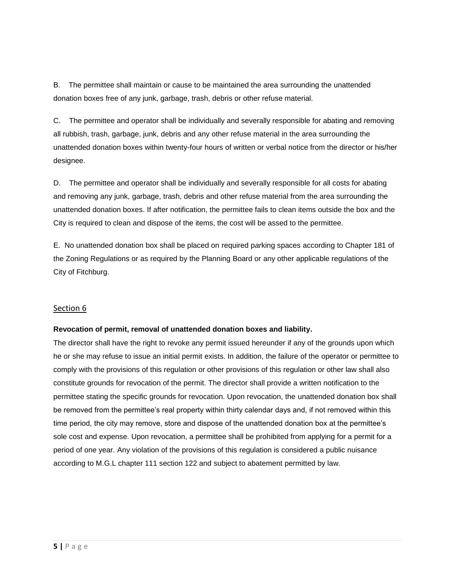B. The permittee shall maintain or cause to be maintained the area surrounding the unattended donation boxes free of any junk, garbage, trash, debris or other refuse material.

C. The permittee and operator shall be individually and severally responsible for abating and removing all rubbish, trash, garbage, junk, debris and any other refuse material in the area surrounding the unattended donation boxes within twenty-four hours of written or verbal notice from the director or his/her designee.

D. The permittee and operator shall be individually and severally responsible for all costs for abating and removing any junk, garbage, trash, debris and other refuse material from the area surrounding the unattended donation boxes. If after notification, the permittee fails to clean items outside the box and the City is required to clean and dispose of the items, the cost will be assed to the permittee.

E. No unattended donation box shall be placed on required p*ar*king spaces according to Chapter 181 of the Zoning Regulations or as required by the Planning Board or any other applicable regulations of the City of Fitchburg.

## Section 6

## **Revocation of permit, removal of unattended donation boxes and liability.**

The director shall have the right to revoke any permit issued hereunder if any of the grounds upon which he or she may refuse to issue an initial permit exists. In addition, the failure of the operator or permittee to comply with the provisions of this regulation or other provisions of this regulation or other law shall also constitute grounds for revocation of the permit. The director shall provide a written notification to the permittee stating the specific grounds for revocation. Upon revocation, the unattended donation box shall be removed from the permittee's real property within thirty calendar days and, if not removed within this time period, the city may remove, store and dispose of the unattended donation box at the permittee's sole cost and expense. Upon revocation, a permittee shall be prohibited from applying for a permit for a period of one year. Any violation of the provisions of this regulation is considered a public nuisance according to M.G.L chapter 111 section 122 and subject to abatement permitted by law.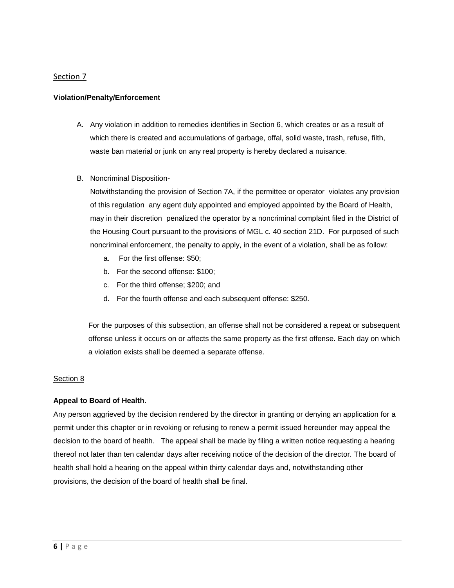#### **Violation/Penalty/Enforcement**

- A. Any violation in addition to remedies identifies in Section 6, which creates or as a result of which there is created and accumulations of garbage, offal, solid waste, trash, refuse, filth, waste ban material or junk on any real property is hereby declared a nuisance.
- B. Noncriminal Disposition-

Notwithstanding the provision of Section 7A, if the permittee or operator violates any provision of this regulation any agent duly appointed and employed appointed by the Board of Health, may in their discretion penalized the operator by a noncriminal complaint filed in the District of the Housing Court pursuant to the provisions of MGL c. 40 section 21D. For purposed of such noncriminal enforcement, the penalty to apply, in the event of a violation, shall be as follow:

- a. For the first offense: \$50;
- b. For the second offense: \$100;
- c. For the third offense; \$200; and
- d. For the fourth offense and each subsequent offense: \$250.

For the purposes of this subsection, an offense shall not be considered a repeat or subsequent offense unless it occurs on or affects the same property as the first offense. Each day on which a violation exists shall be deemed a separate offense.

## Section 8

## **Appeal to Board of Health.**

Any person aggrieved by the decision rendered by the director in granting or denying an application for a permit under this chapter or in revoking or refusing to renew a permit issued hereunder may appeal the decision to the board of health. The appeal shall be made by filing a written notice requesting a hearing thereof not later than ten calendar days after receiving notice of the decision of the director. The board of health shall hold a hearing on the appeal within thirty calendar days and, notwithstanding other provisions, the decision of the board of health shall be final.